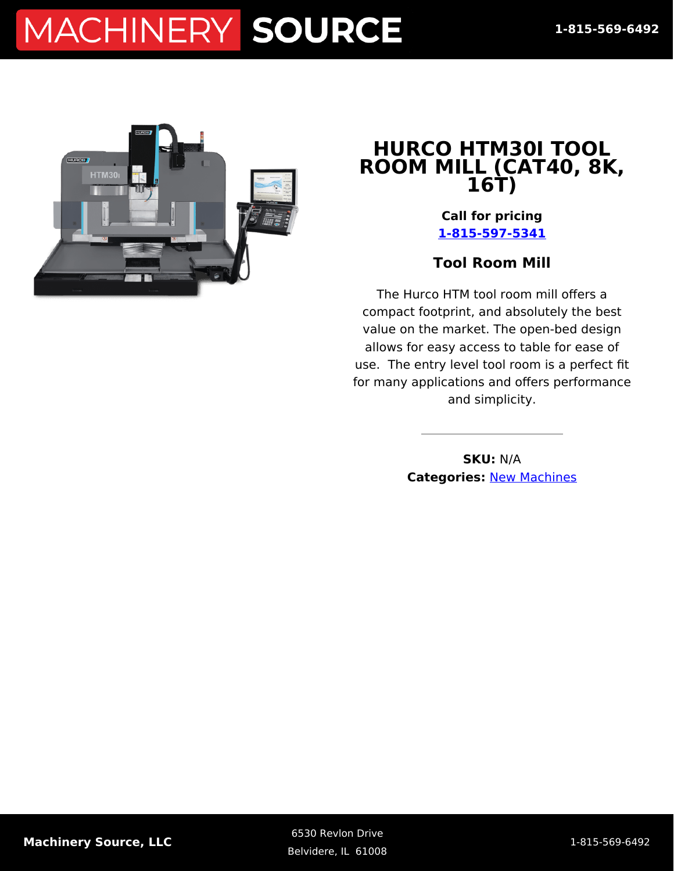# MACHINERY SOURCE



#### **HURCO HTM30I TOOL ROOM MILL (CAT40, 8K, 16T)**

**Call for pricing [1-815-597-5341](#page--1-0)**

#### **Tool Room Mill**

The Hurco HTM tool room mill offers a compact footprint, and absolutely the best value on the market. The open-bed design allows for easy access to table for ease of use. The entry level tool room is a perfect fit for many applications and offers performance and simplicity.

> **SKU:** N/A **Categories:** [New Machines](https://machinerysource.com/product-category/machining-centers/)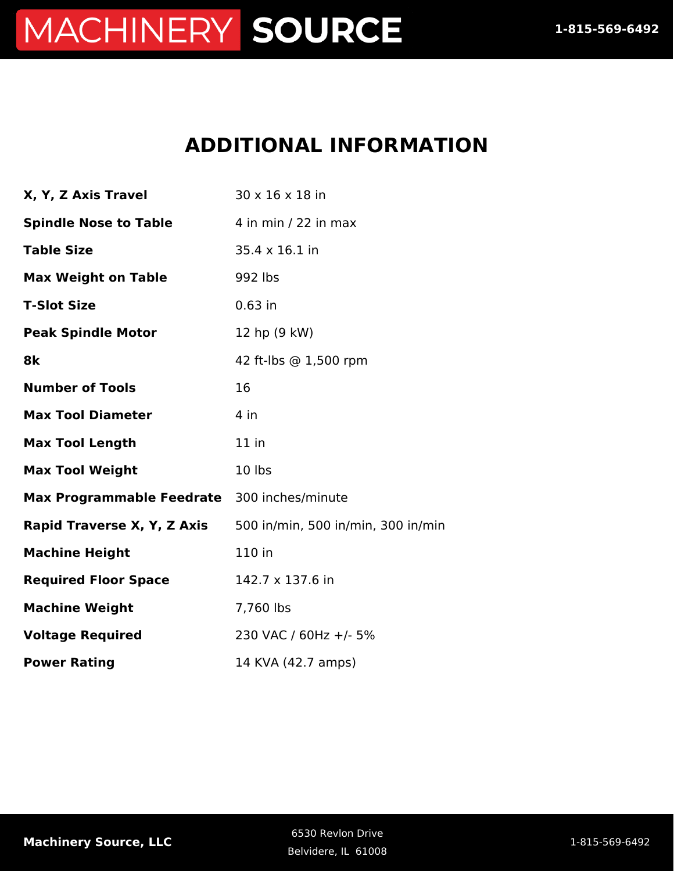## MACHINERY SOURCE

### **ADDITIONAL INFORMATION**

| X, Y, Z Axis Travel                         | 30 x 16 x 18 in                    |
|---------------------------------------------|------------------------------------|
| <b>Spindle Nose to Table</b>                | 4 in min / 22 in max               |
| <b>Table Size</b>                           | 35.4 x 16.1 in                     |
| <b>Max Weight on Table</b>                  | 992 lbs                            |
| <b>T-Slot Size</b>                          | $0.63$ in                          |
| <b>Peak Spindle Motor</b>                   | 12 hp (9 kW)                       |
| 8k                                          | 42 ft-lbs @ 1,500 rpm              |
| <b>Number of Tools</b>                      | 16                                 |
| <b>Max Tool Diameter</b>                    | $4$ in                             |
| <b>Max Tool Length</b>                      | $11$ in                            |
| <b>Max Tool Weight</b>                      | 10 lbs                             |
| Max Programmable Feedrate 300 inches/minute |                                    |
| Rapid Traverse X, Y, Z Axis                 | 500 in/min, 500 in/min, 300 in/min |
| <b>Machine Height</b>                       | 110 in                             |
| <b>Required Floor Space</b>                 | 142.7 x 137.6 in                   |
| <b>Machine Weight</b>                       | 7,760 lbs                          |
| <b>Voltage Required</b>                     | 230 VAC / 60Hz +/- 5%              |
| <b>Power Rating</b>                         | 14 KVA (42.7 amps)                 |